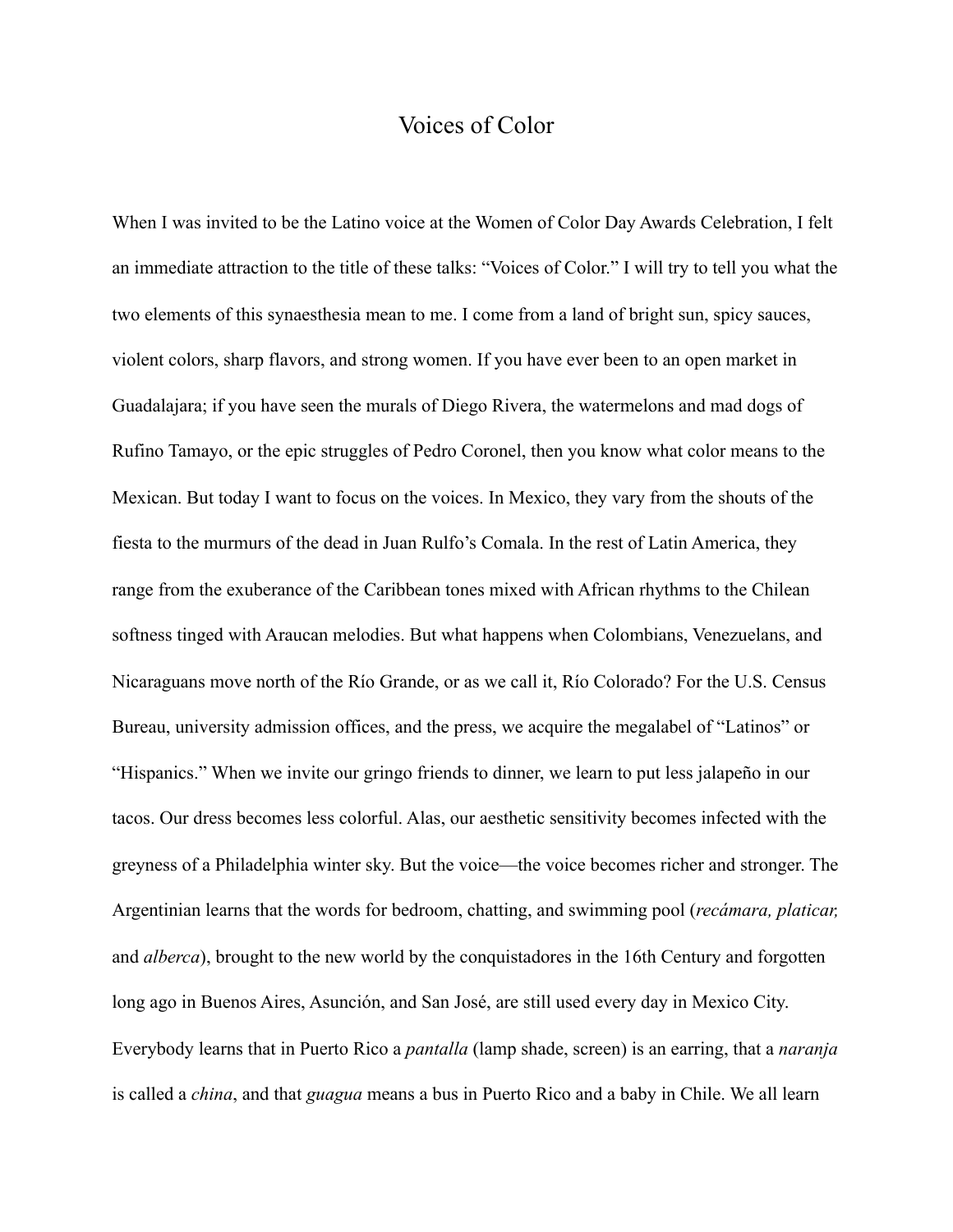## Voices of Color

When I was invited to be the Latino voice at the Women of Color Day Awards Celebration, I felt an immediate attraction to the title of these talks: "Voices of Color." I will try to tell you what the two elements of this synaesthesia mean to me. I come from a land of bright sun, spicy sauces, violent colors, sharp flavors, and strong women. If you have ever been to an open market in Guadalajara; if you have seen the murals of Diego Rivera, the watermelons and mad dogs of Rufino Tamayo, or the epic struggles of Pedro Coronel, then you know what color means to the Mexican. But today I want to focus on the voices. In Mexico, they vary from the shouts of the fiesta to the murmurs of the dead in Juan Rulfo's Comala. In the rest of Latin America, they range from the exuberance of the Caribbean tones mixed with African rhythms to the Chilean softness tinged with Araucan melodies. But what happens when Colombians, Venezuelans, and Nicaraguans move north of the Río Grande, or as we call it, Río Colorado? For the U.S. Census Bureau, university admission offices, and the press, we acquire the megalabel of "Latinos" or "Hispanics." When we invite our gringo friends to dinner, we learn to put less jalapeño in our tacos. Our dress becomes less colorful. Alas, our aesthetic sensitivity becomes infected with the greyness of a Philadelphia winter sky. But the voice—the voice becomes richer and stronger. The Argentinian learns that the words for bedroom, chatting, and swimming pool (*recámara, platicar,* and *alberca*), brought to the new world by the conquistadores in the 16th Century and forgotten long ago in Buenos Aires, Asunción, and San José, are still used every day in Mexico City. Everybody learns that in Puerto Rico a *pantalla* (lamp shade, screen) is an earring, that a *naranja* is called a *china*, and that *guagua* means a bus in Puerto Rico and a baby in Chile. We all learn